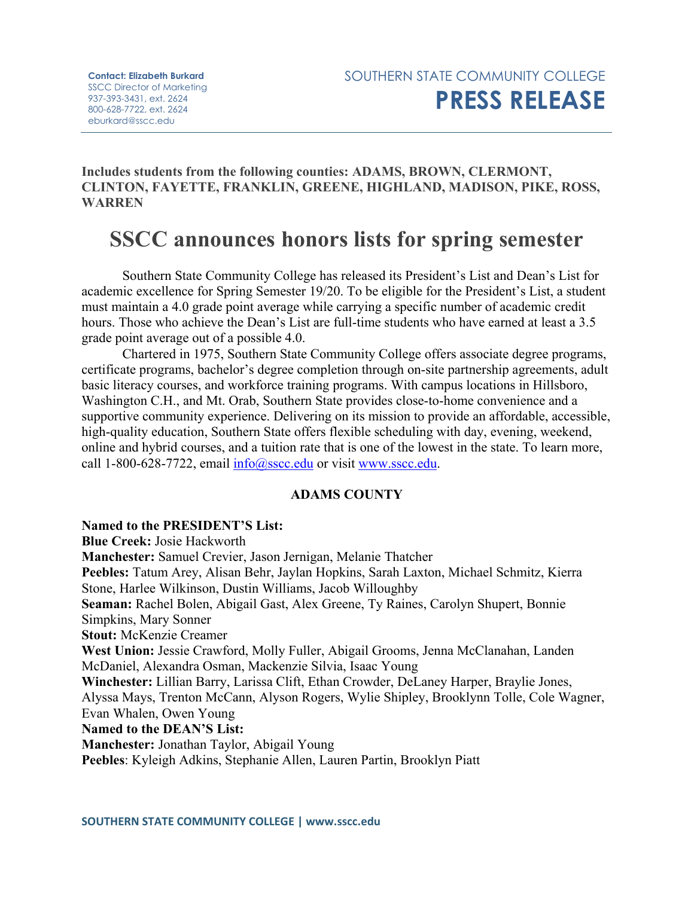**Includes students from the following counties: ADAMS, BROWN, CLERMONT, CLINTON, FAYETTE, FRANKLIN, GREENE, HIGHLAND, MADISON, PIKE, ROSS, WARREN**

# **SSCC announces honors lists for spring semester**

Southern State Community College has released its President's List and Dean's List for academic excellence for Spring Semester 19/20. To be eligible for the President's List, a student must maintain a 4.0 grade point average while carrying a specific number of academic credit hours. Those who achieve the Dean's List are full-time students who have earned at least a 3.5 grade point average out of a possible 4.0.

Chartered in 1975, Southern State Community College offers associate degree programs, certificate programs, bachelor's degree completion through on-site partnership agreements, adult basic literacy courses, and workforce training programs. With campus locations in Hillsboro, Washington C.H., and Mt. Orab, Southern State provides close-to-home convenience and a supportive community experience. Delivering on its mission to provide an affordable, accessible, high-quality education, Southern State offers flexible scheduling with day, evening, weekend, online and hybrid courses, and a tuition rate that is one of the lowest in the state. To learn more, call 1-800-628-7722, email  $info@sscc.edu$  or visit [www.sscc.edu.](http://www.sscc.edu/)

# **ADAMS COUNTY**

**Named to the PRESIDENT'S List: Blue Creek:** Josie Hackworth **Manchester:** Samuel Crevier, Jason Jernigan, Melanie Thatcher **Peebles:** Tatum Arey, Alisan Behr, Jaylan Hopkins, Sarah Laxton, Michael Schmitz, Kierra Stone, Harlee Wilkinson, Dustin Williams, Jacob Willoughby **Seaman:** Rachel Bolen, Abigail Gast, Alex Greene, Ty Raines, Carolyn Shupert, Bonnie Simpkins, Mary Sonner **Stout:** McKenzie Creamer **West Union:** Jessie Crawford, Molly Fuller, Abigail Grooms, Jenna McClanahan, Landen McDaniel, Alexandra Osman, Mackenzie Silvia, Isaac Young **Winchester:** Lillian Barry, Larissa Clift, Ethan Crowder, DeLaney Harper, Braylie Jones, Alyssa Mays, Trenton McCann, Alyson Rogers, Wylie Shipley, Brooklynn Tolle, Cole Wagner, Evan Whalen, Owen Young **Named to the DEAN'S List: Manchester:** Jonathan Taylor, Abigail Young **Peebles**: Kyleigh Adkins, Stephanie Allen, Lauren Partin, Brooklyn Piatt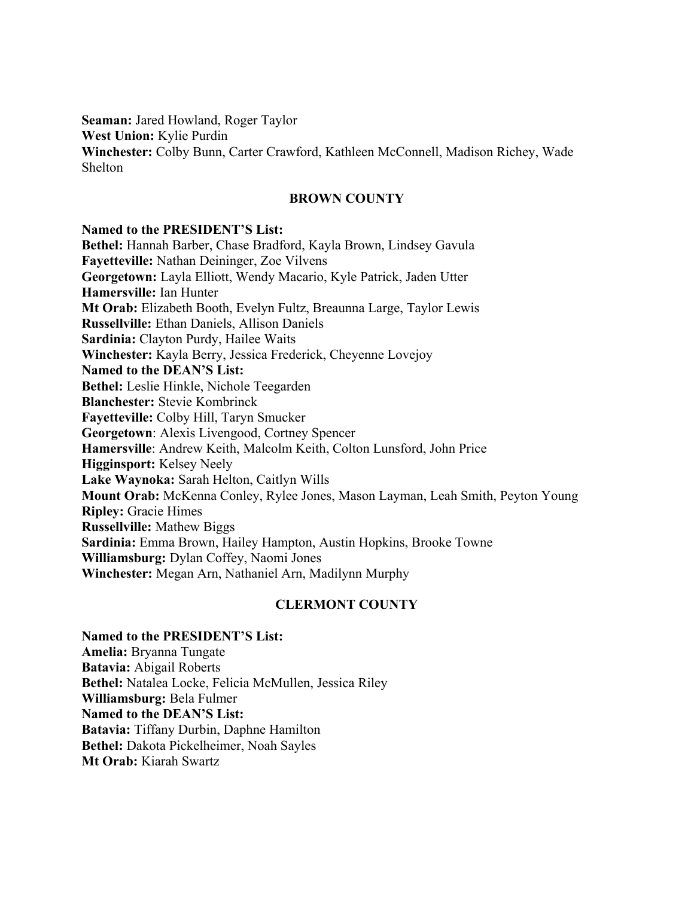**Seaman:** Jared Howland, Roger Taylor **West Union:** Kylie Purdin **Winchester:** Colby Bunn, Carter Crawford, Kathleen McConnell, Madison Richey, Wade Shelton

## **BROWN COUNTY**

#### **Named to the PRESIDENT'S List:**

**Bethel:** Hannah Barber, Chase Bradford, Kayla Brown, Lindsey Gavula **Fayetteville:** Nathan Deininger, Zoe Vilvens **Georgetown:** Layla Elliott, Wendy Macario, Kyle Patrick, Jaden Utter **Hamersville:** Ian Hunter **Mt Orab:** Elizabeth Booth, Evelyn Fultz, Breaunna Large, Taylor Lewis **Russellville:** Ethan Daniels, Allison Daniels **Sardinia:** Clayton Purdy, Hailee Waits **Winchester:** Kayla Berry, Jessica Frederick, Cheyenne Lovejoy **Named to the DEAN'S List: Bethel:** Leslie Hinkle, Nichole Teegarden **Blanchester:** Stevie Kombrinck **Fayetteville:** Colby Hill, Taryn Smucker **Georgetown**: Alexis Livengood, Cortney Spencer **Hamersville**: Andrew Keith, Malcolm Keith, Colton Lunsford, John Price **Higginsport:** Kelsey Neely **Lake Waynoka:** Sarah Helton, Caitlyn Wills **Mount Orab:** McKenna Conley, Rylee Jones, Mason Layman, Leah Smith, Peyton Young **Ripley:** Gracie Himes **Russellville:** Mathew Biggs **Sardinia:** Emma Brown, Hailey Hampton, Austin Hopkins, Brooke Towne **Williamsburg:** Dylan Coffey, Naomi Jones **Winchester:** Megan Arn, Nathaniel Arn, Madilynn Murphy

# **CLERMONT COUNTY**

**Named to the PRESIDENT'S List: Amelia:** Bryanna Tungate **Batavia:** Abigail Roberts **Bethel:** Natalea Locke, Felicia McMullen, Jessica Riley **Williamsburg:** Bela Fulmer **Named to the DEAN'S List: Batavia:** Tiffany Durbin, Daphne Hamilton **Bethel:** Dakota Pickelheimer, Noah Sayles **Mt Orab:** Kiarah Swartz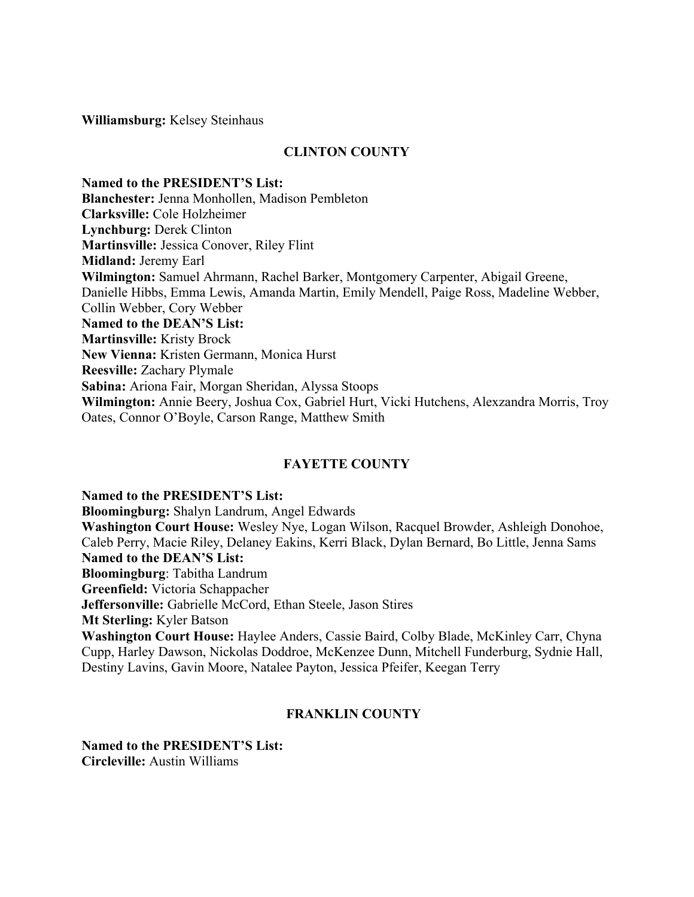**Williamsburg:** Kelsey Steinhaus

# **CLINTON COUNTY**

**Named to the PRESIDENT'S List: Blanchester:** Jenna Monhollen, Madison Pembleton **Clarksville:** Cole Holzheimer **Lynchburg:** Derek Clinton **Martinsville:** Jessica Conover, Riley Flint **Midland:** Jeremy Earl **Wilmington:** Samuel Ahrmann, Rachel Barker, Montgomery Carpenter, Abigail Greene, Danielle Hibbs, Emma Lewis, Amanda Martin, Emily Mendell, Paige Ross, Madeline Webber, Collin Webber, Cory Webber **Named to the DEAN'S List: Martinsville:** Kristy Brock **New Vienna:** Kristen Germann, Monica Hurst **Reesville:** Zachary Plymale **Sabina:** Ariona Fair, Morgan Sheridan, Alyssa Stoops **Wilmington:** Annie Beery, Joshua Cox, Gabriel Hurt, Vicki Hutchens, Alexzandra Morris, Troy Oates, Connor O'Boyle, Carson Range, Matthew Smith

# **FAYETTE COUNTY**

**Named to the PRESIDENT'S List:**

**Bloomingburg:** Shalyn Landrum, Angel Edwards **Washington Court House:** Wesley Nye, Logan Wilson, Racquel Browder, Ashleigh Donohoe, Caleb Perry, Macie Riley, Delaney Eakins, Kerri Black, Dylan Bernard, Bo Little, Jenna Sams **Named to the DEAN'S List: Bloomingburg**: Tabitha Landrum **Greenfield:** Victoria Schappacher **Jeffersonville:** Gabrielle McCord, Ethan Steele, Jason Stires **Mt Sterling:** Kyler Batson **Washington Court House:** Haylee Anders, Cassie Baird, Colby Blade, McKinley Carr, Chyna Cupp, Harley Dawson, Nickolas Doddroe, McKenzee Dunn, Mitchell Funderburg, Sydnie Hall, Destiny Lavins, Gavin Moore, Natalee Payton, Jessica Pfeifer, Keegan Terry

# **FRANKLIN COUNTY**

**Named to the PRESIDENT'S List: Circleville:** Austin Williams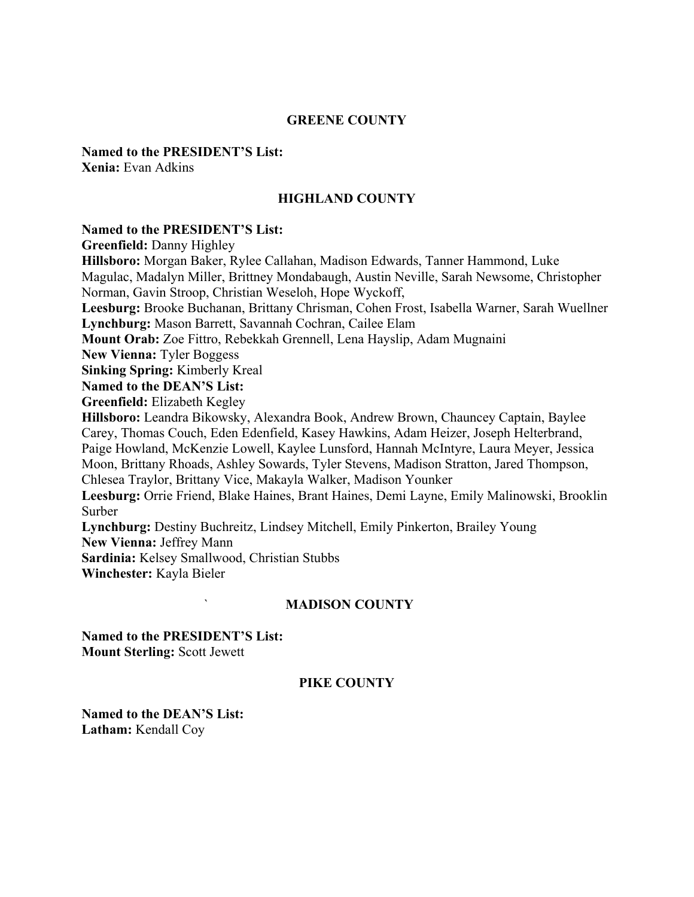#### **GREENE COUNTY**

**Named to the PRESIDENT'S List: Xenia:** Evan Adkins

## **HIGHLAND COUNTY**

## **Named to the PRESIDENT'S List:**

**Greenfield:** Danny Highley

**Hillsboro:** Morgan Baker, Rylee Callahan, Madison Edwards, Tanner Hammond, Luke Magulac, Madalyn Miller, Brittney Mondabaugh, Austin Neville, Sarah Newsome, Christopher Norman, Gavin Stroop, Christian Weseloh, Hope Wyckoff, **Leesburg:** Brooke Buchanan, Brittany Chrisman, Cohen Frost, Isabella Warner, Sarah Wuellner **Lynchburg:** Mason Barrett, Savannah Cochran, Cailee Elam **Mount Orab:** Zoe Fittro, Rebekkah Grennell, Lena Hayslip, Adam Mugnaini **New Vienna:** Tyler Boggess **Sinking Spring:** Kimberly Kreal **Named to the DEAN'S List: Greenfield:** Elizabeth Kegley **Hillsboro:** Leandra Bikowsky, Alexandra Book, Andrew Brown, Chauncey Captain, Baylee Carey, Thomas Couch, Eden Edenfield, Kasey Hawkins, Adam Heizer, Joseph Helterbrand, Paige Howland, McKenzie Lowell, Kaylee Lunsford, Hannah McIntyre, Laura Meyer, Jessica Moon, Brittany Rhoads, Ashley Sowards, Tyler Stevens, Madison Stratton, Jared Thompson, Chlesea Traylor, Brittany Vice, Makayla Walker, Madison Younker **Leesburg:** Orrie Friend, Blake Haines, Brant Haines, Demi Layne, Emily Malinowski, Brooklin Surber **Lynchburg:** Destiny Buchreitz, Lindsey Mitchell, Emily Pinkerton, Brailey Young **New Vienna:** Jeffrey Mann **Sardinia:** Kelsey Smallwood, Christian Stubbs **Winchester:** Kayla Bieler

#### ` **MADISON COUNTY**

**Named to the PRESIDENT'S List: Mount Sterling:** Scott Jewett

#### **PIKE COUNTY**

**Named to the DEAN'S List: Latham:** Kendall Coy